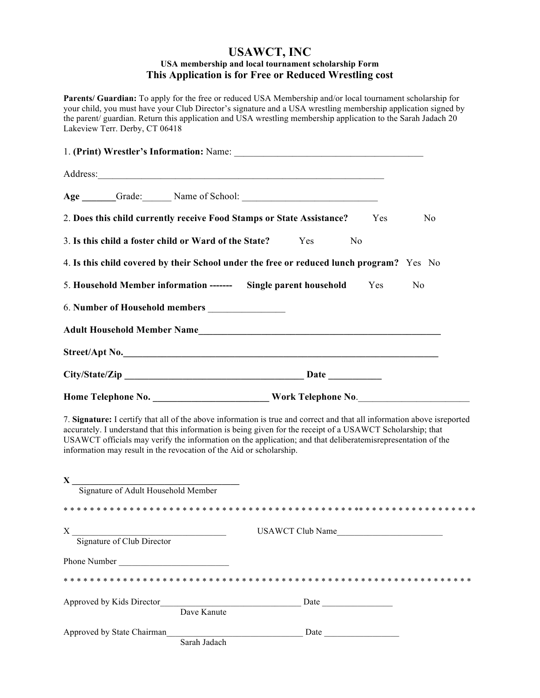## **USAWCT, INC USA membership and local tournament scholarship Form This Application is for Free or Reduced Wrestling cost**

**Parents/ Guardian:** To apply for the free or reduced USA Membership and/or local tournament scholarship for your child, you must have your Club Director's signature and a USA wrestling membership application signed by the parent/ guardian. Return this application and USA wrestling membership application to the Sarah Jadach 20 Lakeview Terr. Derby, CT 06418

|  | Address: <u>Address:</u> Address: Address: Address: Address: Address: Address: Address: Address: Address: Address: Address: Address: Address: Address: Address: Address: Address: Address: Address: Address: Address: Address: Addr |  |  |                |
|--|-------------------------------------------------------------------------------------------------------------------------------------------------------------------------------------------------------------------------------------|--|--|----------------|
|  |                                                                                                                                                                                                                                     |  |  |                |
|  | 2. Does this child currently receive Food Stamps or State Assistance? Yes                                                                                                                                                           |  |  | N <sub>0</sub> |
|  | 3. Is this child a foster child or Ward of the State? Yes No                                                                                                                                                                        |  |  |                |
|  | 4. Is this child covered by their School under the free or reduced lunch program? Yes No                                                                                                                                            |  |  |                |
|  | 5. Household Member information ------- Single parent household Yes No                                                                                                                                                              |  |  |                |
|  |                                                                                                                                                                                                                                     |  |  |                |
|  |                                                                                                                                                                                                                                     |  |  |                |
|  | Street/Apt No.                                                                                                                                                                                                                      |  |  |                |
|  |                                                                                                                                                                                                                                     |  |  |                |
|  |                                                                                                                                                                                                                                     |  |  |                |

7. **Signature:** I certify that all of the above information is true and correct and that all information above isreported accurately. I understand that this information is being given for the receipt of a USAWCT Scholarship; that USAWCT officials may verify the information on the application; and that deliberatemisrepresentation of the information may result in the revocation of the Aid or scholarship.

| $\mathbf X$                                |                         |
|--------------------------------------------|-------------------------|
| Signature of Adult Household Member        |                         |
|                                            |                         |
| X<br>Signature of Club Director            | <b>USAWCT Club Name</b> |
| Phone Number                               |                         |
|                                            |                         |
| Approved by Kids Director<br>Dave Kanute   | Date                    |
| Approved by State Chairman<br>Sarah Jadach | Date                    |